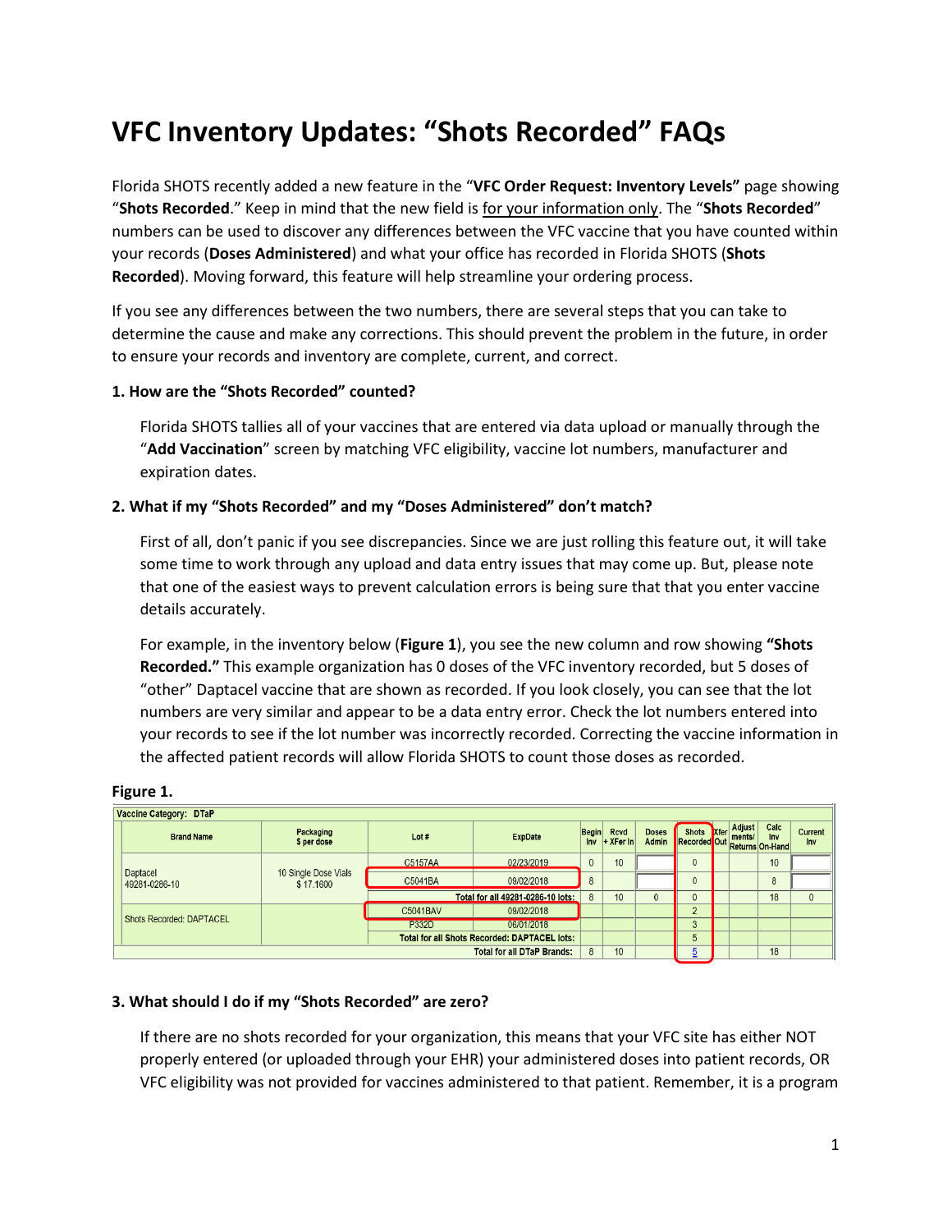# **VFC Inventory Updates: "Shots Recorded" FAQs**

Florida SHOTS recently added a new feature in the "**VFC Order Request: Inventory Levels"** page showing "**Shots Recorded**." Keep in mind that the new field is for your information only. The "**Shots Recorded**" numbers can be used to discover any differences between the VFC vaccine that you have counted within your records (**Doses Administered**) and what your office has recorded in Florida SHOTS (**Shots Recorded**). Moving forward, this feature will help streamline your ordering process.

If you see any differences between the two numbers, there are several steps that you can take to determine the cause and make any corrections. This should prevent the problem in the future, in order to ensure your records and inventory are complete, current, and correct.

## **1. How are the "Shots Recorded" counted?**

Florida SHOTS tallies all of your vaccines that are entered via data upload or manually through the "**Add Vaccination**" screen by matching VFC eligibility, vaccine lot numbers, manufacturer and expiration dates.

## **2. What if my "Shots Recorded" and my "Doses Administered" don't match?**

First of all, don't panic if you see discrepancies. Since we are just rolling this feature out, it will take some time to work through any upload and data entry issues that may come up. But, please note that one of the easiest ways to prevent calculation errors is being sure that that you enter vaccine details accurately.

For example, in the inventory below (**Figure 1**), you see the new column and row showing **"Shots Recorded."** This example organization has 0 doses of the VFC inventory recorded, but 5 doses of "other" Daptacel vaccine that are shown as recorded. If you look closely, you can see that the lot numbers are very similar and appear to be a data entry error. Check the lot numbers entered into your records to see if the lot number was incorrectly recorded. Correcting the vaccine information in the affected patient records will allow Florida SHOTS to count those doses as recorded.

|  | Vaccine Category: DTaP    |                                   |                                   |                                                     |              |                                 |                       |                                  |  |  |    |                |  |
|--|---------------------------|-----------------------------------|-----------------------------------|-----------------------------------------------------|--------------|---------------------------------|-----------------------|----------------------------------|--|--|----|----------------|--|
|  | <b>Brand Name</b>         | Packaging<br>\$ per dose          | Lot#                              | <b>ExpDate</b>                                      |              | Begin Rcvd<br>$Inv$ + XFer $In$ | <b>Doses</b><br>Admin | ses Recorded Out Returns On-Hand |  |  |    | Current<br>Inv |  |
|  | Daptacel<br>49281-0286-10 |                                   | C5157AA                           | 02/23/2019                                          | $\mathbf{0}$ | 10                              |                       | $\mathbf{0}$                     |  |  | 10 |                |  |
|  |                           | 10 Single Dose Vials<br>\$17.1600 | C5041BA                           | 09/02/2018                                          | 8            |                                 |                       | $\Omega$                         |  |  | 8  |                |  |
|  |                           |                                   | Total for all 49281-0286-10 lots: |                                                     |              | 10                              | $\overline{0}$        | $\mathbf{0}$                     |  |  | 18 | $\mathbf{0}$   |  |
|  | Shots Recorded: DAPTACEL  |                                   | C5041BAV                          | 09/02/2018                                          |              |                                 |                       | $\Omega$                         |  |  |    |                |  |
|  |                           |                                   | <b>P332D</b>                      | 06/01/2018                                          |              |                                 |                       | 3                                |  |  |    |                |  |
|  |                           |                                   |                                   | <b>Total for all Shots Recorded: DAPTACEL lots:</b> |              |                                 |                       | 5                                |  |  |    |                |  |
|  |                           | $\mathbf{8}$                      | 10                                |                                                     |              |                                 |                       | 18                               |  |  |    |                |  |

# **3. What should I do if my "Shots Recorded" are zero?**

If there are no shots recorded for your organization, this means that your VFC site has either NOT properly entered (or uploaded through your EHR) your administered doses into patient records, OR VFC eligibility was not provided for vaccines administered to that patient. Remember, it is a program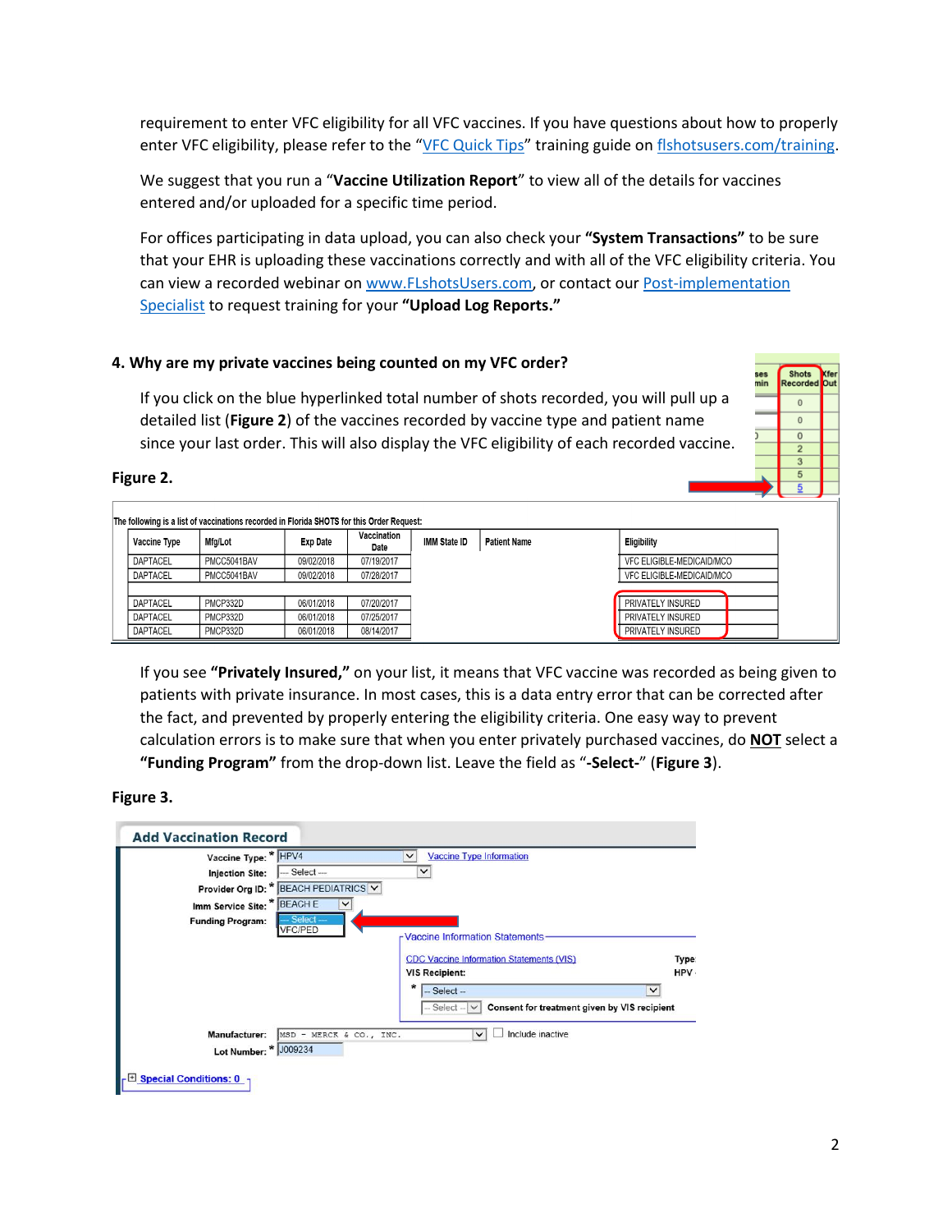requirement to enter VFC eligibility for all VFC vaccines. If you have questions about how to properly enter VFC eligibility, please refer to the "[VFC Quick Tips](http://flshotsusers.com/sites/default/files/docs/FLS_Quick%20Tips%20Full%20Access_07.19.17.pdf)" training guide o[n flshotsusers.com/training.](http://flshotsusers.com/training)

We suggest that you run a "**Vaccine Utilization Report**" to view all of the details for vaccines entered and/or uploaded for a specific time period.

For offices participating in data upload, you can also check your **"System Transactions"** to be sure that your EHR is uploading these vaccinations correctly and with all of the VFC eligibility criteria. You can view a recorded webinar o[n www.FLshotsUsers.com,](http://www.flshotsusers.com/) or contact our Post-implementation [Specialist](https://flshotsusers.com/contact) to request training for your **"Upload Log Reports."**

### **4. Why are my private vaccines being counted on my VFC order?**

If you click on the blue hyperlinked total number of shots recorded, you will pull up a detailed list (**Figure 2**) of the vaccines recorded by vaccine type and patient name since your last order. This will also display the VFC eligibility of each recorded vaccine.

#### **Figure 2.**

| The following is a list of vaccinations recorded in Florida SHOTS for this Order Request: |             |                 |                     |              |                     |                           |  |  |  |  |  |
|-------------------------------------------------------------------------------------------|-------------|-----------------|---------------------|--------------|---------------------|---------------------------|--|--|--|--|--|
| Vaccine Type                                                                              | Mfg/Lot     | <b>Exp Date</b> | Vaccination<br>Date | IMM State ID | <b>Patient Name</b> | <b>Eligibility</b>        |  |  |  |  |  |
| DAPTACEL                                                                                  | PMCC5041BAV | 09/02/2018      | 07/19/2017          |              |                     | VFC ELIGIBLE-MEDICAID/MCO |  |  |  |  |  |
| DAPTACEL                                                                                  | PMCC5041BAV | 09/02/2018      | 07/28/2017          |              |                     | VFC ELIGIBLE-MEDICAID/MCO |  |  |  |  |  |
|                                                                                           |             |                 |                     |              |                     |                           |  |  |  |  |  |
| DAPTACEL                                                                                  | PMCP332D    | 06/01/2018      | 07/20/2017          |              |                     | PRIVATELY INSURED         |  |  |  |  |  |
| DAPTACEL                                                                                  | PMCP332D    | 06/01/2018      | 07/25/2017          |              |                     | PRIVATELY INSURED         |  |  |  |  |  |
| <b>DAPTACEL</b>                                                                           | PMCP332D    | 06/01/2018      | 08/14/2017          |              |                     | PRIVATELY INSURED         |  |  |  |  |  |

If you see **"Privately Insured,"** on your list, it means that VFC vaccine was recorded as being given to patients with private insurance. In most cases, this is a data entry error that can be corrected after the fact, and prevented by properly entering the eligibility criteria. One easy way to prevent calculation errors is to make sure that when you enter privately purchased vaccines, do **NOT** select a **"Funding Program"** from the drop-down list. Leave the field as "**-Select-**" (**Figure 3**).

#### **Figure 3.**

| Vaccine Type: * HPV4        |                                       | <b>Vaccine Type Information</b><br>$\check{ }$                     |       |
|-----------------------------|---------------------------------------|--------------------------------------------------------------------|-------|
| <b>Injection Site:</b>      | --- Select ---                        | $\checkmark$                                                       |       |
|                             | Provider Org ID: * BEACH PEDIATRICS V |                                                                    |       |
| Imm Service Site: * BEACH E | $\check{}$                            |                                                                    |       |
| <b>Funding Program:</b>     | $Select -$<br><b>VFC/PED</b>          |                                                                    |       |
|                             |                                       | r Vaccine Information Statements                                   |       |
|                             |                                       | <b>CDC Vaccine Information Statements (VIS)</b>                    | Type: |
|                             |                                       | <b>VIS Recipient:</b>                                              | HPV.  |
|                             |                                       | *<br>$-$ Select $-$<br>$\checkmark$                                |       |
|                             |                                       | Consent for treatment given by VIS recipient<br>$-$ Select $ \vee$ |       |
| Manufacturer:               | MSD - MERCK & CO., INC.               | Include inactive<br>$\checkmark$                                   |       |
|                             | Lot Number: * J009234                 |                                                                    |       |

Shots **Recorde**  $\mathbf{0}$  $\overline{0}$  $\overline{\mathbf{0}}$  $\overline{2}$  $\ensuremath{\mathsf{3}}$ 5